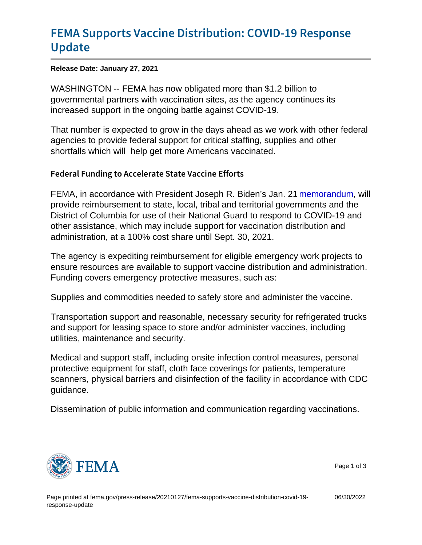# [FEMA Supports Vaccine Distributi](https://www.fema.gov/press-release/20210127/fema-supports-vaccine-distribution-covid-19-response-update)on: COV [Upda](https://www.fema.gov/press-release/20210127/fema-supports-vaccine-distribution-covid-19-response-update)te

Release Date: January 27, 2021

WASHINGTON -- FEMA has now obligated more than \$1.2 billion to governmental partners with vaccination sites, as the agency continues its increased support in the ongoing battle against COVID-19.

That number is expected to grow in the days ahead as we work with other federal agencies to provide federal support for critical staffing, supplies and other shortfalls which will help get more Americans vaccinated.

### Federal Funding to Accelerate State Vaccine Efforts

FEMA, in accordance with President Joseph R. Biden's Jan. 21 [memorandum,](https://www.whitehouse.gov/briefing-room/presidential-actions/2021/01/21/extend-federal-support-to-governors-use-of-national-guard-to-respond-to-covid-19-and-to-increase-reimbursement-and-other-assistance-provided-to-states/) will provide reimbursement to state, local, tribal and territorial governments and the District of Columbia for use of their National Guard to respond to COVID-19 and other assistance, which may include support for vaccination distribution and administration, at a 100% cost share until Sept. 30, 2021.

The agency is expediting reimbursement for eligible emergency work projects to ensure resources are available to support vaccine distribution and administration. Funding covers emergency protective measures, such as:

Supplies and commodities needed to safely store and administer the vaccine.

Transportation support and reasonable, necessary security for refrigerated trucks and support for leasing space to store and/or administer vaccines, including utilities, maintenance and security.

Medical and support staff, including onsite infection control measures, personal protective equipment for staff, cloth face coverings for patients, temperature scanners, physical barriers and disinfection of the facility in accordance with CDC guidance.

Dissemination of public information and communication regarding vaccinations.



Page 1 of 3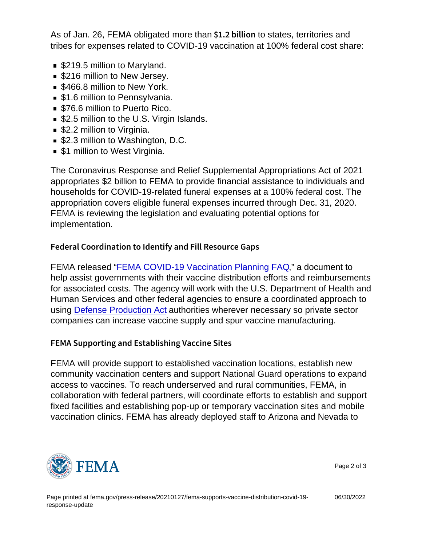As of Jan. 26, FEMA obligated more than  $$1.2$  b itb states, territories and tribes for expenses related to COVID-19 vaccination at 100% federal cost share:

- \$219.5 million to Maryland.
- **S216 million to New Jersey.**
- **S466.8 million to New York.**
- **51.6 million to Pennsylvania.**
- \$76.6 million to Puerto Rico.
- \$2.5 million to the U.S. Virgin Islands.
- **S2.2 million to Virginia.**
- \$2.3 million to Washington, D.C.
- **51 million to West Virginia.**

The Coronavirus Response and Relief Supplemental Appropriations Act of 2021 appropriates \$2 billion to FEMA to provide financial assistance to individuals and households for COVID-19-related funeral expenses at a 100% federal cost. The appropriation covers eligible funeral expenses incurred through Dec. 31, 2020. FEMA is reviewing the legislation and evaluating potential options for implementation.

## Federal Coordination to Identify and Fill Resource Gaps

FEMA released ["FEMA COVID-19 Vaccination Planning FAQ](https://www.fema.gov/sites/default/files/documents/fema_covid-19-vaccination-planning_faq_11-19-2020.pdf)," a document to help assist governments with their vaccine distribution efforts and reimbursements for associated costs. The agency will work with the U.S. Department of Health and Human Services and other federal agencies to ensure a coordinated approach to using [Defense Production Act](https://www.fema.gov/disasters/coronavirus/fact-sheets) authorities wherever necessary so private sector companies can increase vaccine supply and spur vaccine manufacturing.

## FEMA Supporting and Establishing Vaccine Sites

FEMA will provide support to established vaccination locations, establish new community vaccination centers and support National Guard operations to expand access to vaccines. To reach underserved and rural communities, FEMA, in collaboration with federal partners, will coordinate efforts to establish and support fixed facilities and establishing pop-up or temporary vaccination sites and mobile vaccination clinics. FEMA has already deployed staff to Arizona and Nevada to



Page 2 of 3